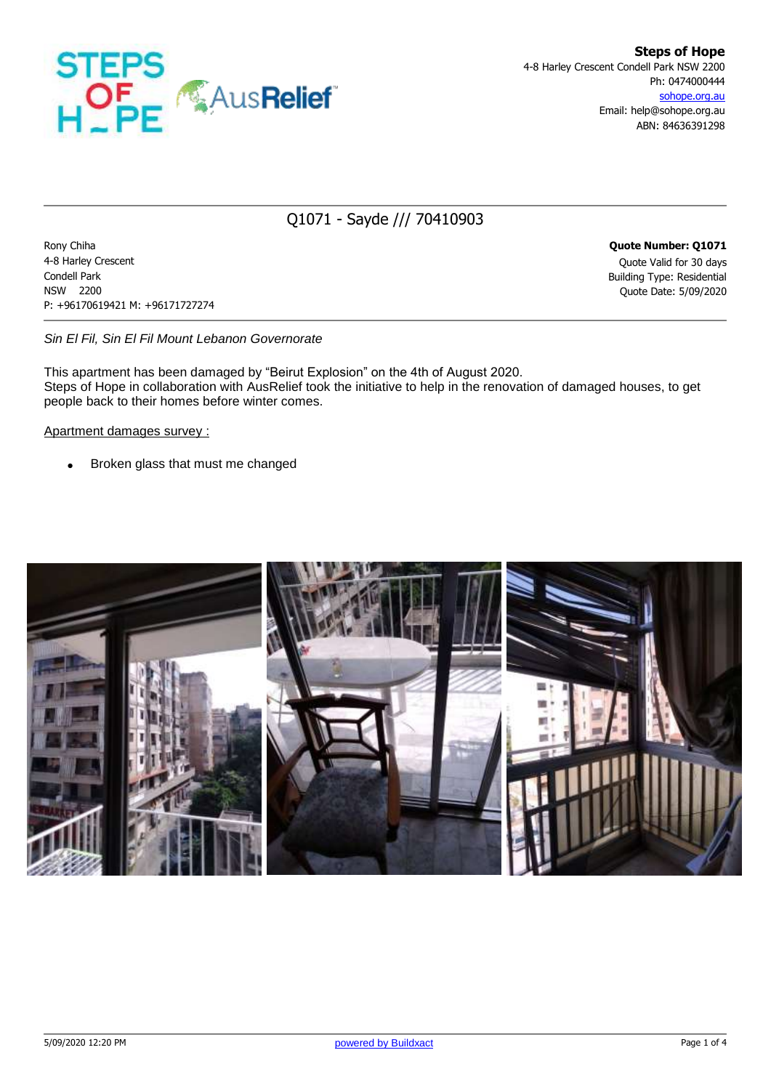

## Q1071 - Sayde /// 70410903

Rony Chiha **Quote Number: Q1071** 4-8 Harley Crescent Quote Valid for 30 days Condell Park Building Type: Residential NSW 2200 Quote Date: 5/09/2020 P: +96170619421 M: +96171727274

*Sin El Fil, Sin El Fil Mount Lebanon Governorate*

This apartment has been damaged by "Beirut Explosion" on the 4th of August 2020. Steps of Hope in collaboration with AusRelief took the initiative to help in the renovation of damaged houses, to get people back to their homes before winter comes.

Apartment damages survey :

• Broken glass that must me changed

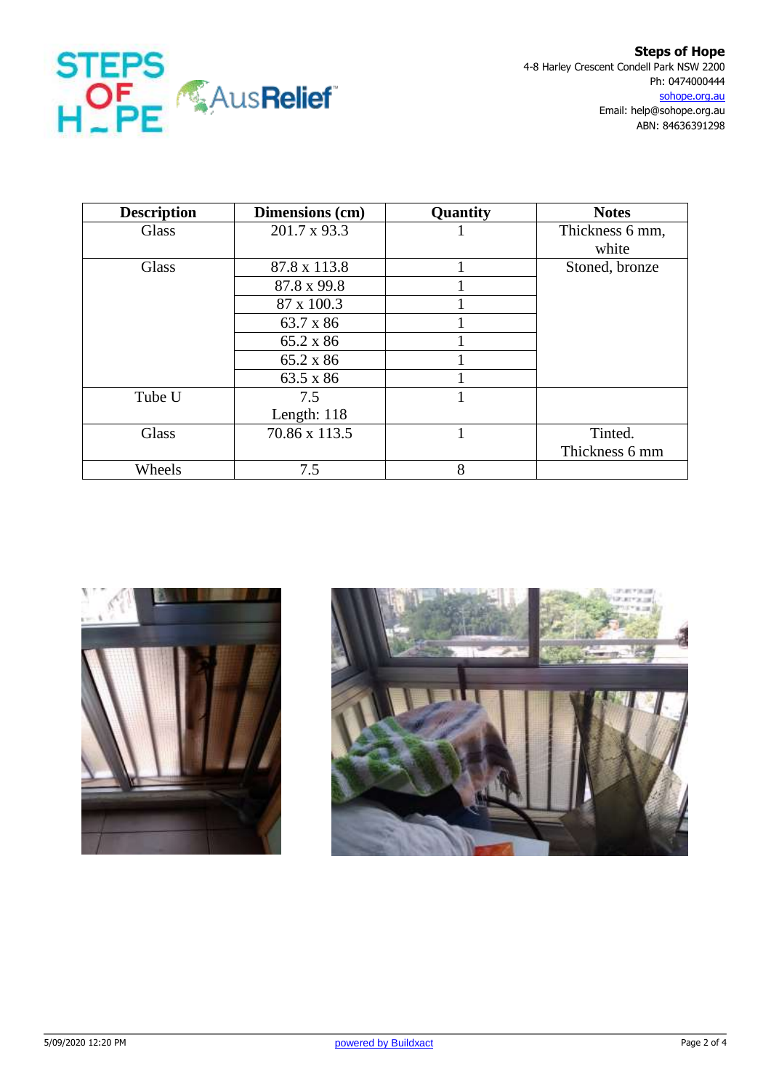

| <b>Description</b> | Dimensions (cm) | Quantity | <b>Notes</b>    |  |
|--------------------|-----------------|----------|-----------------|--|
| Glass              | 201.7 x 93.3    |          | Thickness 6 mm, |  |
|                    |                 |          | white           |  |
| Glass              | 87.8 x 113.8    |          | Stoned, bronze  |  |
|                    | 87.8 x 99.8     |          |                 |  |
|                    | 87 x 100.3      |          |                 |  |
|                    | 63.7 x 86       |          |                 |  |
|                    | 65.2 x 86       |          |                 |  |
|                    | 65.2 x 86       |          |                 |  |
|                    | 63.5 x 86       |          |                 |  |
| Tube U             | 7.5             |          |                 |  |
|                    | Length: $118$   |          |                 |  |
| Glass              | 70.86 x 113.5   |          | Tinted.         |  |
|                    |                 |          | Thickness 6 mm  |  |
| Wheels             | 7.5             | 8        |                 |  |



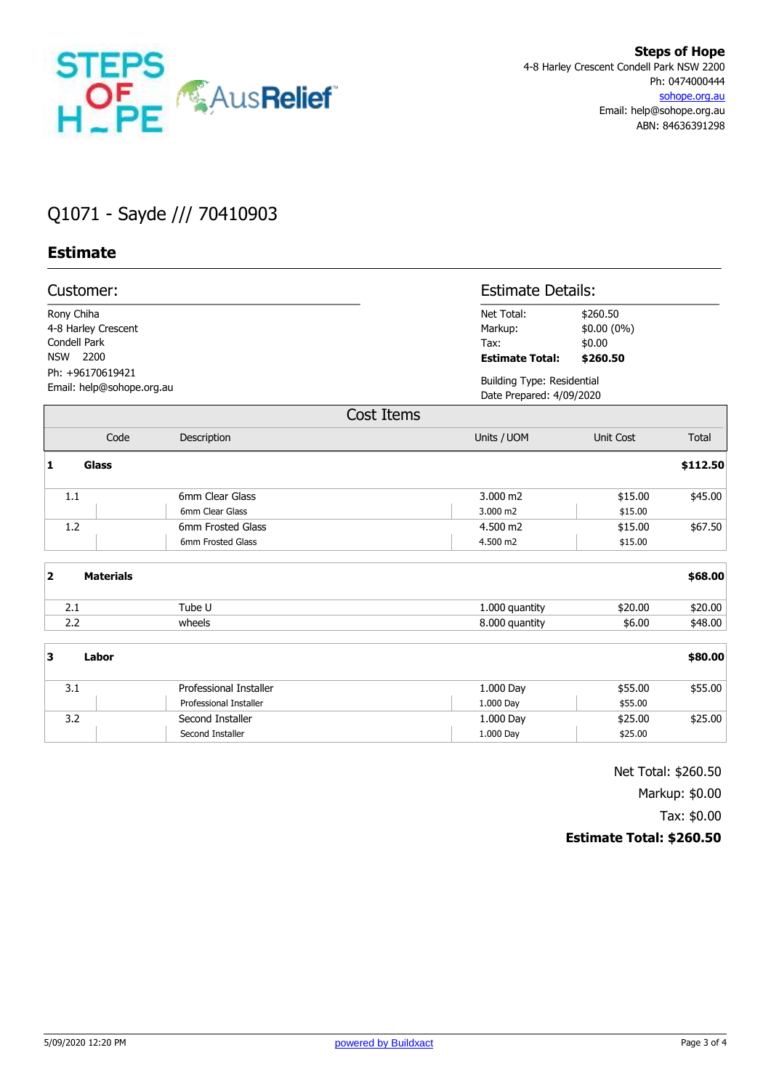

## Q1071 - Sayde /// 70410903

## **Estimate**

| Customer:<br>Rony Chiha<br>4-8 Harley Crescent<br>Condell Park<br><b>NSW</b><br>2200<br>Ph: +96170619421<br>Email: help@sohope.org.au |                  |                        |                        | <b>Estimate Details:</b>                                      |              |  |
|---------------------------------------------------------------------------------------------------------------------------------------|------------------|------------------------|------------------------|---------------------------------------------------------------|--------------|--|
|                                                                                                                                       |                  |                        | Net Total:<br>Markup:  | \$260.50<br>\$0.00 (0%)                                       |              |  |
|                                                                                                                                       |                  |                        | Tax:                   | \$0.00                                                        |              |  |
|                                                                                                                                       |                  |                        | <b>Estimate Total:</b> | \$260.50                                                      |              |  |
|                                                                                                                                       |                  |                        |                        | <b>Building Type: Residential</b><br>Date Prepared: 4/09/2020 |              |  |
|                                                                                                                                       |                  |                        |                        |                                                               |              |  |
|                                                                                                                                       |                  |                        | Cost Items             |                                                               |              |  |
|                                                                                                                                       | Code             | Description            | Units / UOM            | Unit Cost                                                     | <b>Total</b> |  |
| 1                                                                                                                                     | <b>Glass</b>     |                        |                        |                                                               | \$112.50     |  |
|                                                                                                                                       | 1.1              | 6mm Clear Glass        | 3.000 m2               | \$15.00                                                       | \$45.00      |  |
|                                                                                                                                       |                  | 6mm Clear Glass        | 3.000 m2               | \$15.00                                                       |              |  |
|                                                                                                                                       | 1.2              | 6mm Frosted Glass      | 4.500 m2               | \$15.00                                                       | \$67.50      |  |
|                                                                                                                                       |                  | 6mm Frosted Glass      | 4.500 m2               | \$15.00                                                       |              |  |
| $\overline{\mathbf{2}}$                                                                                                               | <b>Materials</b> |                        |                        |                                                               | \$68.00      |  |
|                                                                                                                                       | 2.1              | Tube U                 | 1.000 quantity         | \$20.00                                                       | \$20.00      |  |
|                                                                                                                                       | 2.2              | wheels                 | 8.000 quantity         | \$6.00                                                        | \$48.00      |  |
| 3                                                                                                                                     | Labor            |                        |                        |                                                               | \$80.00      |  |
|                                                                                                                                       | 3.1              | Professional Installer | 1.000 Day              | \$55.00                                                       | \$55.00      |  |
|                                                                                                                                       |                  | Professional Installer | 1.000 Day              | \$55.00                                                       |              |  |
|                                                                                                                                       | 3.2              | Second Installer       | 1.000 Day              | \$25.00                                                       | \$25.00      |  |
|                                                                                                                                       |                  | Second Installer       | 1.000 Day              | \$25.00                                                       |              |  |

Net Total: \$260.50 Markup: \$0.00 Tax: \$0.00 **Estimate Total: \$260.50**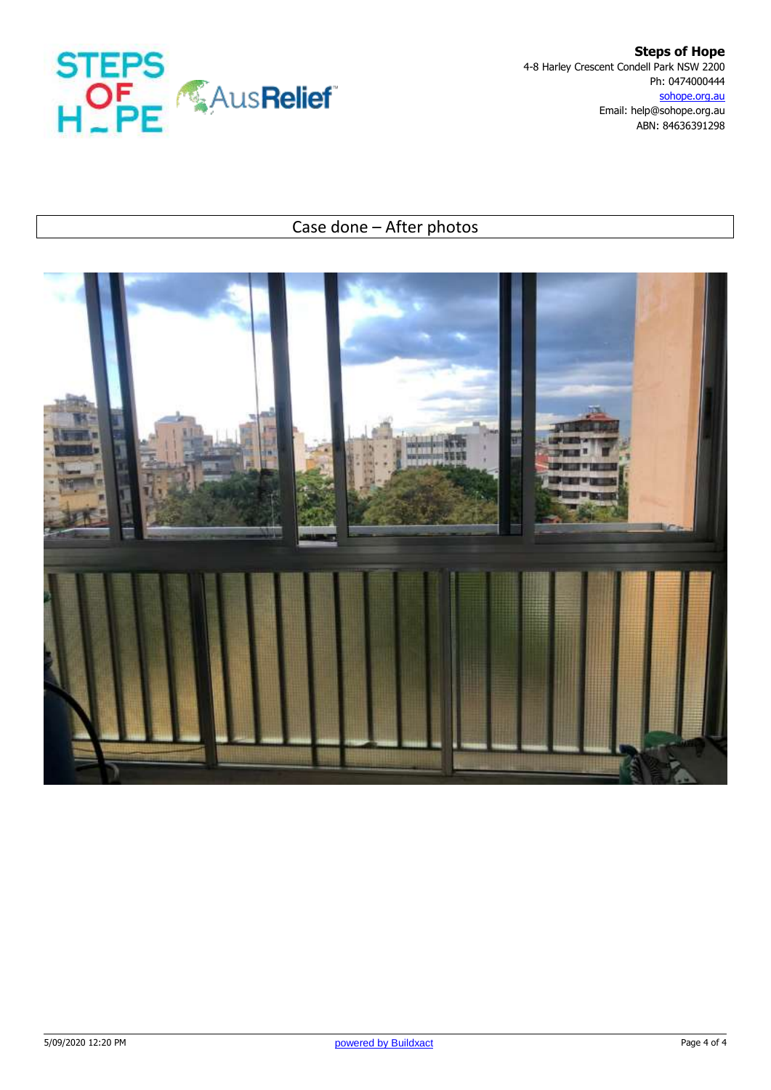

**Steps of Hope** 4-8 Harley Crescent Condell Park NSW 2200 Ph: 0474000444 sohope.org.au Email: help@sohope.org.au ABN: 84636391298

## Case done – After photos